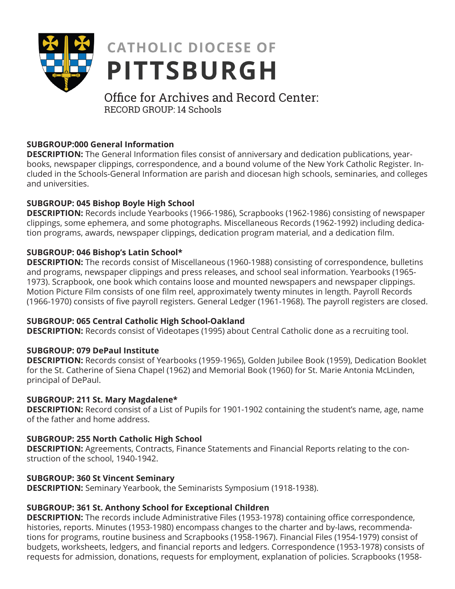

# **CATHOLIC DIOCESE OF PITTSBURGH**

# Office for Archives and Record Center: RECORD GROUP: 14 Schools

#### **SUBGROUP:000 General Information**

**DESCRIPTION:** The General Information files consist of anniversary and dedication publications, yearbooks, newspaper clippings, correspondence, and a bound volume of the New York Catholic Register. Included in the Schools-General Information are parish and diocesan high schools, seminaries, and colleges and universities.

#### **SUBGROUP: 045 Bishop Boyle High School**

**DESCRIPTION:** Records include Yearbooks (1966-1986), Scrapbooks (1962-1986) consisting of newspaper clippings, some ephemera, and some photographs. Miscellaneous Records (1962-1992) including dedication programs, awards, newspaper clippings, dedication program material, and a dedication film.

# **SUBGROUP: 046 Bishop's Latin School\***

**DESCRIPTION:** The records consist of Miscellaneous (1960-1988) consisting of correspondence, bulletins and programs, newspaper clippings and press releases, and school seal information. Yearbooks (1965- 1973). Scrapbook, one book which contains loose and mounted newspapers and newspaper clippings. Motion Picture Film consists of one film reel, approximately twenty minutes in length. Payroll Records (1966-1970) consists of five payroll registers. General Ledger (1961-1968). The payroll registers are closed.

#### **SUBGROUP: 065 Central Catholic High School-Oakland**

**DESCRIPTION:** Records consist of Videotapes (1995) about Central Catholic done as a recruiting tool.

# **SUBGROUP: 079 DePaul Institute**

**DESCRIPTION:** Records consist of Yearbooks (1959-1965), Golden Jubilee Book (1959), Dedication Booklet for the St. Catherine of Siena Chapel (1962) and Memorial Book (1960) for St. Marie Antonia McLinden, principal of DePaul.

#### **SUBGROUP: 211 St. Mary Magdalene\***

**DESCRIPTION:** Record consist of a List of Pupils for 1901-1902 containing the student's name, age, name of the father and home address.

# **SUBGROUP: 255 North Catholic High School**

**DESCRIPTION:** Agreements, Contracts, Finance Statements and Financial Reports relating to the construction of the school, 1940-1942.

# **SUBGROUP: 360 St Vincent Seminary**

**DESCRIPTION:** Seminary Yearbook, the Seminarists Symposium (1918-1938).

# **SUBGROUP: 361 St. Anthony School for Exceptional Children**

**DESCRIPTION:** The records include Administrative Files (1953-1978) containing office correspondence, histories, reports. Minutes (1953-1980) encompass changes to the charter and by-laws, recommendations for programs, routine business and Scrapbooks (1958-1967). Financial Files (1954-1979) consist of budgets, worksheets, ledgers, and financial reports and ledgers. Correspondence (1953-1978) consists of requests for admission, donations, requests for employment, explanation of policies. Scrapbooks (1958